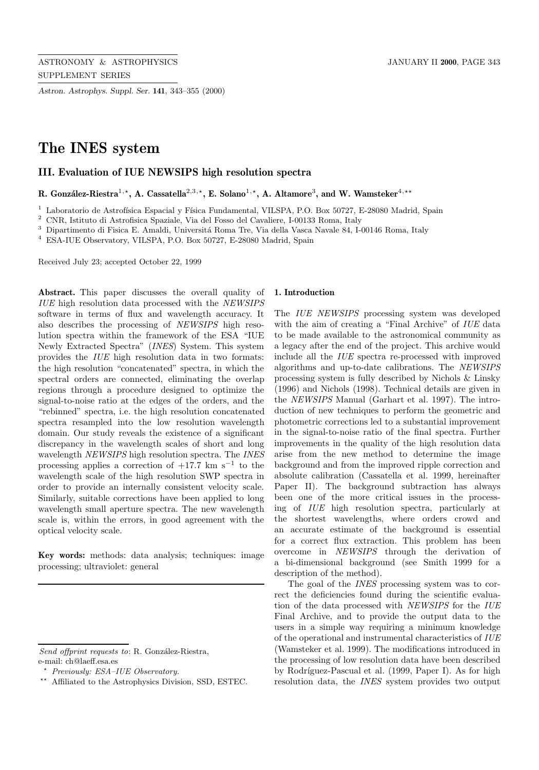*Astron. Astrophys. Suppl. Ser.* **141**, 343–355 (2000)

# **The INES system**

# **III. Evaluation of IUE NEWSIPS high resolution spectra**

R. González-Riestra<sup>1,\*</sup>, A. Cassatella<sup>2,3,\*</sup>, E. Solano<sup>1,\*</sup>, A. Altamore<sup>3</sup>, and W. Wamsteker<sup>4,\*\*</sup>

<sup>1</sup> Laboratorio de Astrofísica Espacial y Física Fundamental, VILSPA, P.O. Box 50727, E-28080 Madrid, Spain

 $^2$  CNR, Istituto di Astrofisica Spaziale, Via del Fosso del Cavaliere, I-00133 Roma, Italy

 $^3$  Dipartimento di Fisica E. Amaldi, Universitá Roma Tre, Via della Vasca Navale 84, I-00146 Roma, Italy

<sup>4</sup> ESA-IUE Observatory, VILSPA, P.O. Box 50727, E-28080 Madrid, Spain

Received July 23; accepted October 22, 1999

**Abstract.** This paper discusses the overall quality of IUE high resolution data processed with the NEWSIPS software in terms of flux and wavelength accuracy. It also describes the processing of NEWSIPS high resolution spectra within the framework of the ESA "IUE Newly Extracted Spectra" (INES) System. This system provides the IUE high resolution data in two formats: the high resolution "concatenated" spectra, in which the spectral orders are connected, eliminating the overlap regions through a procedure designed to optimize the signal-to-noise ratio at the edges of the orders, and the "rebinned" spectra, i.e. the high resolution concatenated spectra resampled into the low resolution wavelength domain. Our study reveals the existence of a significant discrepancy in the wavelength scales of short and long wavelength NEWSIPS high resolution spectra. The INES processing applies a correction of  $+17.7$  km s<sup>-1</sup> to the wavelength scale of the high resolution SWP spectra in order to provide an internally consistent velocity scale. Similarly, suitable corrections have been applied to long wavelength small aperture spectra. The new wavelength scale is, within the errors, in good agreement with the optical velocity scale.

**Key words:** methods: data analysis; techniques: image processing; ultraviolet: general

### **1. Introduction**

The IUE NEWSIPS processing system was developed with the aim of creating a "Final Archive" of IUE data to be made available to the astronomical community as a legacy after the end of the project. This archive would include all the IUE spectra re-processed with improved algorithms and up-to-date calibrations. The NEWSIPS processing system is fully described by Nichols & Linsky (1996) and Nichols (1998). Technical details are given in the NEWSIPS Manual (Garhart et al. 1997). The introduction of new techniques to perform the geometric and photometric corrections led to a substantial improvement in the signal-to-noise ratio of the final spectra. Further improvements in the quality of the high resolution data arise from the new method to determine the image background and from the improved ripple correction and absolute calibration (Cassatella et al. 1999, hereinafter Paper II). The background subtraction has always been one of the more critical issues in the processing of IUE high resolution spectra, particularly at the shortest wavelengths, where orders crowd and an accurate estimate of the background is essential for a correct flux extraction. This problem has been overcome in NEWSIPS through the derivation of a bi-dimensional background (see Smith 1999 for a description of the method).

The goal of the INES processing system was to correct the deficiencies found during the scientific evaluation of the data processed with NEWSIPS for the IUE Final Archive, and to provide the output data to the users in a simple way requiring a minimum knowledge of the operational and instrumental characteristics of IUE (Wamsteker et al. 1999). The modifications introduced in the processing of low resolution data have been described by Rodríguez-Pascual et al. (1999, Paper I). As for high resolution data, the INES system provides two output

Send offprint requests to: R. González-Riestra, e-mail: ch@laeff.esa.es

<sup>?</sup> Previously: ESA–IUE Observatory.

<sup>??</sup> Affiliated to the Astrophysics Division, SSD, ESTEC.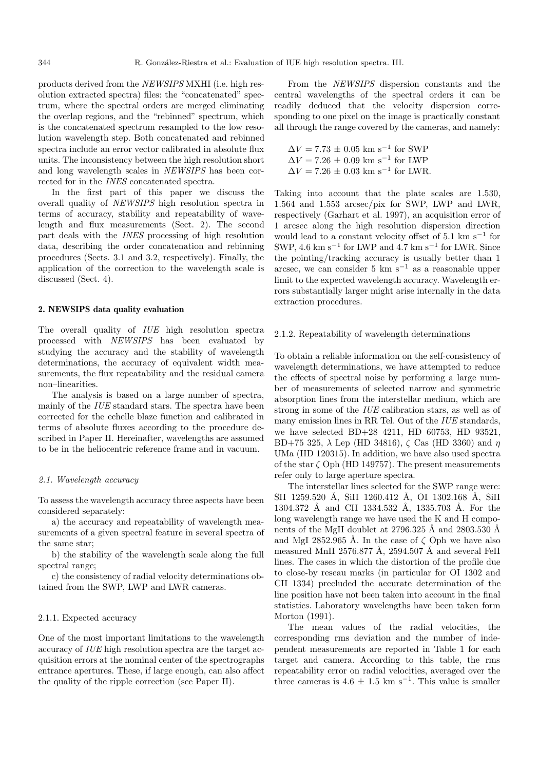products derived from the NEWSIPS MXHI (i.e. high resolution extracted spectra) files: the "concatenated" spectrum, where the spectral orders are merged eliminating the overlap regions, and the "rebinned" spectrum, which is the concatenated spectrum resampled to the low resolution wavelength step. Both concatenated and rebinned spectra include an error vector calibrated in absolute flux units. The inconsistency between the high resolution short and long wavelength scales in NEWSIPS has been corrected for in the INES concatenated spectra.

In the first part of this paper we discuss the overall quality of NEWSIPS high resolution spectra in terms of accuracy, stability and repeatability of wavelength and flux measurements (Sect. 2). The second part deals with the INES processing of high resolution data, describing the order concatenation and rebinning procedures (Sects. 3.1 and 3.2, respectively). Finally, the application of the correction to the wavelength scale is discussed (Sect. 4).

### **2. NEWSIPS data quality evaluation**

The overall quality of *IUE* high resolution spectra processed with NEWSIPS has been evaluated by studying the accuracy and the stability of wavelength determinations, the accuracy of equivalent width measurements, the flux repeatability and the residual camera non–linearities.

The analysis is based on a large number of spectra, mainly of the IUE standard stars. The spectra have been corrected for the echelle blaze function and calibrated in terms of absolute fluxes according to the procedure described in Paper II. Hereinafter, wavelengths are assumed to be in the heliocentric reference frame and in vacuum.

### 2.1. Wavelength accuracy

To assess the wavelength accuracy three aspects have been considered separately:

a) the accuracy and repeatability of wavelength measurements of a given spectral feature in several spectra of the same star;

b) the stability of the wavelength scale along the full spectral range;

c) the consistency of radial velocity determinations obtained from the SWP, LWP and LWR cameras.

#### 2.1.1. Expected accuracy

One of the most important limitations to the wavelength accuracy of IUE high resolution spectra are the target acquisition errors at the nominal center of the spectrographs entrance apertures. These, if large enough, can also affect the quality of the ripple correction (see Paper II).

From the NEWSIPS dispersion constants and the central wavelengths of the spectral orders it can be readily deduced that the velocity dispersion corresponding to one pixel on the image is practically constant all through the range covered by the cameras, and namely:

$$
\Delta V = 7.73 \pm 0.05 \text{ km s}^{-1} \text{ for SWP}
$$
  
\n
$$
\Delta V = 7.26 \pm 0.09 \text{ km s}^{-1} \text{ for LWP}
$$
  
\n
$$
\Delta V = 7.26 \pm 0.03 \text{ km s}^{-1} \text{ for LWR}.
$$

Taking into account that the plate scales are 1.530, 1.564 and 1.553 arcsec/pix for SWP, LWP and LWR, respectively (Garhart et al. 1997), an acquisition error of 1 arcsec along the high resolution dispersion direction would lead to a constant velocity offset of 5.1 km s<sup> $-1$ </sup> for SWP, 4.6 km s<sup>−1</sup> for LWP and 4.7 km s<sup>−1</sup> for LWR. Since the pointing/tracking accuracy is usually better than 1 arcsec, we can consider 5 km  $s^{-1}$  as a reasonable upper limit to the expected wavelength accuracy. Wavelength errors substantially larger might arise internally in the data extraction procedures.

### 2.1.2. Repeatability of wavelength determinations

To obtain a reliable information on the self-consistency of wavelength determinations, we have attempted to reduce the effects of spectral noise by performing a large number of measurements of selected narrow and symmetric absorption lines from the interstellar medium, which are strong in some of the IUE calibration stars, as well as of many emission lines in RR Tel. Out of the *IUE* standards, we have selected BD+28 4211, HD 60753, HD 93521, BD+75 325, λ Lep (HD 34816), ζ Cas (HD 3360) and  $η$ UMa (HD 120315). In addition, we have also used spectra of the star  $\zeta$  Oph (HD 149757). The present measurements refer only to large aperture spectra.

The interstellar lines selected for the SWP range were: SII 1259.520 Å, SiII 1260.412 Å, OI 1302.168 Å, SiII 1304.372 Å and CII 1334.532 Å, 1335.703 Å. For the long wavelength range we have used the K and H components of the MgII doublet at 2796.325 Å and 2803.530 Å and MgI 2852.965 Å. In the case of  $\zeta$  Oph we have also measured MnII 2576.877 Å, 2594.507 Å and several FeII lines. The cases in which the distortion of the profile due to close-by reseau marks (in particular for OI 1302 and CII 1334) precluded the accurate determination of the line position have not been taken into account in the final statistics. Laboratory wavelengths have been taken form Morton (1991).

The mean values of the radial velocities, the corresponding rms deviation and the number of independent measurements are reported in Table 1 for each target and camera. According to this table, the rms repeatability error on radial velocities, averaged over the three cameras is  $4.6 \pm 1.5$  km s<sup>-1</sup>. This value is smaller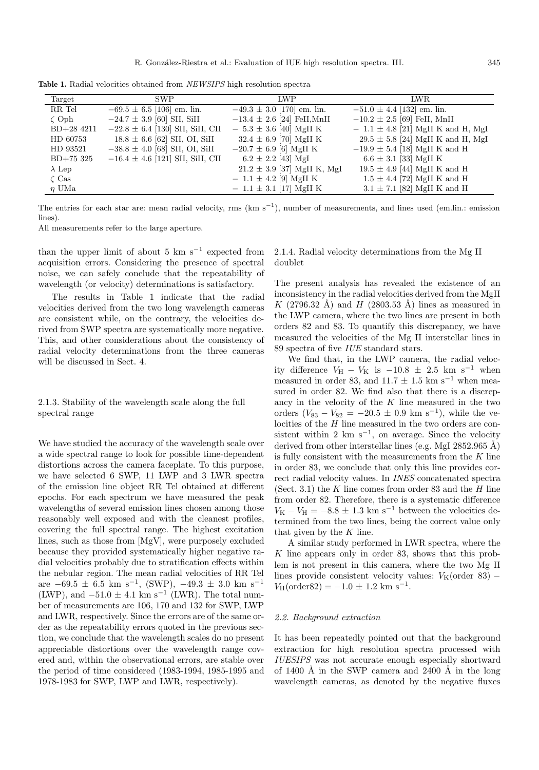**Table 1.** Radial velocities obtained from NEWSIPS high resolution spectra

| Target        | <b>SWP</b>                           | LWP                             | LWR.                                  |
|---------------|--------------------------------------|---------------------------------|---------------------------------------|
|               |                                      |                                 |                                       |
| RR Tel        | $-69.5 \pm 6.5$ [106] em. lin.       | $-49.3 \pm 3.0$ [170] em. lin.  | $-51.0 \pm 4.4$ [132] em. lin.        |
| $\zeta$ Oph   | $-24.7 \pm 3.9$ [60] SII, SiII       | $-13.4 \pm 2.6$ [24] FeII, MnII | $-10.2 \pm 2.5$ [69] FeII, MnII       |
| $BD+28$ 4211  | $-22.8 \pm 6.4$ [130] SII, SiII, CII | $-5.3 \pm 3.6$ [40] MgII K      | $-1.1 \pm 4.8$ [21] MgII K and H, MgI |
| HD 60753      | $18.8 \pm 6.6$ [62] SII, OI, SiII    | $32.4 \pm 6.9$ [70] MgII K      | $29.5 \pm 5.8$ [24] MgII K and H, MgI |
| HD 93521      | $-38.8 \pm 4.0$ [68] SII, OI, SiII   | $-20.7 \pm 6.9$ [6] MgII K      | $-19.9 \pm 5.4$ [18] MgII K and H     |
| $BD+75325$    | $-16.4 \pm 4.6$ [121] SII, SiII, CII | $6.2 \pm 2.2$ [43] MgI          | $6.6 \pm 3.1$ [33] MgII K             |
| $\lambda$ Lep |                                      | $21.2 \pm 3.9$ [37] MgII K, MgI | $19.5 \pm 4.9$ [44] MgII K and H      |
| $\zeta$ Cas   |                                      | $-1.1 \pm 4.2$ [9] MgII K       | $1.5 \pm 4.4$ [72] MgII K and H       |
| $\eta$ UMa    |                                      | $-1.1 \pm 3.1$ [17] MgII K      | $3.1 \pm 7.1$ [82] MgII K and H       |

The entries for each star are: mean radial velocity, rms (km s−<sup>1</sup>), number of measurements, and lines used (em.lin.: emission lines).

All measurements refer to the large aperture.

than the upper limit of about 5 km s<sup> $-1$ </sup> expected from acquisition errors. Considering the presence of spectral noise, we can safely conclude that the repeatability of wavelength (or velocity) determinations is satisfactory.

The results in Table 1 indicate that the radial velocities derived from the two long wavelength cameras are consistent while, on the contrary, the velocities derived from SWP spectra are systematically more negative. This, and other considerations about the consistency of radial velocity determinations from the three cameras will be discussed in Sect. 4.

# 2.1.3. Stability of the wavelength scale along the full spectral range

We have studied the accuracy of the wavelength scale over a wide spectral range to look for possible time-dependent distortions across the camera faceplate. To this purpose, we have selected 6 SWP, 11 LWP and 3 LWR spectra of the emission line object RR Tel obtained at different epochs. For each spectrum we have measured the peak wavelengths of several emission lines chosen among those reasonably well exposed and with the cleanest profiles, covering the full spectral range. The highest excitation lines, such as those from [MgV], were purposely excluded because they provided systematically higher negative radial velocities probably due to stratification effects within the nebular region. The mean radial velocities of RR Tel are  $-69.5 \pm 6.5$  km s<sup>-1</sup>, (SWP),  $-49.3 \pm 3.0$  km s<sup>-1</sup> (LWP), and  $-51.0 \pm 4.1$  km s<sup>-1</sup> (LWR). The total number of measurements are 106, 170 and 132 for SWP, LWP and LWR, respectively. Since the errors are of the same order as the repeatability errors quoted in the previous section, we conclude that the wavelength scales do no present appreciable distortions over the wavelength range covered and, within the observational errors, are stable over the period of time considered (1983-1994, 1985-1995 and 1978-1983 for SWP, LWP and LWR, respectively).

# 2.1.4. Radial velocity determinations from the Mg II doublet

The present analysis has revealed the existence of an inconsistency in the radial velocities derived from the MgII K (2796.32 Å) and H (2803.53 Å) lines as measured in the LWP camera, where the two lines are present in both orders 82 and 83. To quantify this discrepancy, we have measured the velocities of the Mg II interstellar lines in 89 spectra of five IUE standard stars.

We find that, in the LWP camera, the radial velocity difference  $V_H - V_K$  is  $-10.8 \pm 2.5$  km s<sup>−1</sup> when measured in order 83, and 11.7  $\pm$  1.5 km s<sup>-1</sup> when measured in order 82. We find also that there is a discrepancy in the velocity of the  $K$  line measured in the two orders  $(V_{83} - V_{82} = -20.5 \pm 0.9 \text{ km s}^{-1})$ , while the velocities of the  $H$  line measured in the two orders are consistent within 2 km  $s^{-1}$ , on average. Since the velocity derived from other interstellar lines (e.g. MgI  $2852.965$  Å) is fully consistent with the measurements from the  $K$  line in order 83, we conclude that only this line provides correct radial velocity values. In INES concatenated spectra (Sect. 3.1) the  $K$  line comes from order 83 and the  $H$  line from order 82. Therefore, there is a systematic difference  $V_{\rm K} - V_{\rm H} = -8.8 \pm 1.3$  km s<sup>-1</sup> between the velocities determined from the two lines, being the correct value only that given by the  $K$  line.

A similar study performed in LWR spectra, where the K line appears only in order 83, shows that this problem is not present in this camera, where the two Mg II lines provide consistent velocity values:  $V_K$ (order 83) –  $V_{\rm H}$ (order82) = -1.0 ± 1.2 km s<sup>-1</sup>.

### 2.2. Background extraction

It has been repeatedly pointed out that the background extraction for high resolution spectra processed with IUESIPS was not accurate enough especially shortward of 1400 Å in the SWP camera and 2400 Å in the long wavelength cameras, as denoted by the negative fluxes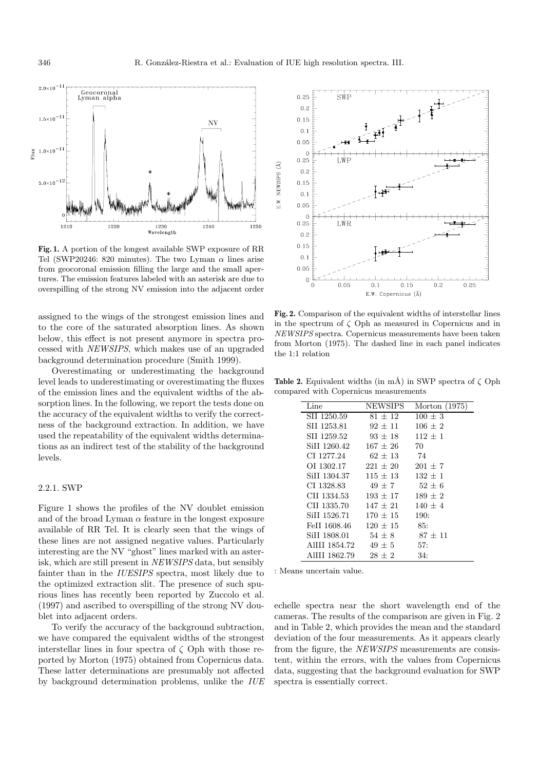

**Fig. 1.** A portion of the longest available SWP exposure of RR Tel (SWP20246: 820 minutes). The two Lyman  $\alpha$  lines arise from geocoronal emission filling the large and the small apertures. The emission features labeled with an asterisk are due to overspilling of the strong NV emission into the adjacent order

assigned to the wings of the strongest emission lines and to the core of the saturated absorption lines. As shown below, this effect is not present anymore in spectra processed with NEWSIPS, which makes use of an upgraded background determination procedure (Smith 1999).

Overestimating or underestimating the background level leads to underestimating or overestimating the fluxes of the emission lines and the equivalent widths of the absorption lines. In the following, we report the tests done on the accuracy of the equivalent widths to verify the correctness of the background extraction. In addition, we have used the repeatability of the equivalent widths determinations as an indirect test of the stability of the background levels.

### 2.2.1. SWP

Figure 1 shows the profiles of the NV doublet emission and of the broad Lyman  $\alpha$  feature in the longest exposure available of RR Tel. It is clearly seen that the wings of these lines are not assigned negative values. Particularly interesting are the NV "ghost" lines marked with an asterisk, which are still present in NEWSIPS data, but sensibly fainter than in the IUESIPS spectra, most likely due to the optimized extraction slit. The presence of such spurious lines has recently been reported by Zuccolo et al. (1997) and ascribed to overspilling of the strong NV doublet into adjacent orders.

To verify the accuracy of the background subtraction, we have compared the equivalent widths of the strongest interstellar lines in four spectra of  $\zeta$  Oph with those reported by Morton (1975) obtained from Copernicus data. These latter determinations are presumably not affected by background determination problems, unlike the IUE



**Fig. 2.** Comparison of the equivalent widths of interstellar lines in the spectrum of ζ Oph as measured in Copernicus and in NEWSIPS spectra. Copernicus measurements have been taken from Morton (1975). The dashed line in each panel indicates the 1:1 relation

**Table 2.** Equivalent widths (in mÅ) in SWP spectra of  $\zeta$  Oph compared with Copernicus measurements

| Line          | NEWSIPS      | Morton (1975) |
|---------------|--------------|---------------|
| SII 1250.59   | $81 + 12$    | $100 \pm 3$   |
| SH 1253.81    | $92 + 11$    | $106 \pm 2$   |
| SII 1259.52   | $93 \pm 18$  | $112 + 1$     |
| SiII 1260.42  | $167 + 26$   | 70            |
| CI 1277.24    | $62 + 13$    | 74            |
| OI 1302.17    | $221 \pm 20$ | $201 \pm 7$   |
| SiII 1304.37  | $115 + 13$   | $132 + 1$     |
| CI 1328.83    | $49 + 7$     | $52 + 6$      |
| CH 1334.53    | $193 + 17$   | $189 + 2$     |
| CH 1335.70    | $147 + 21$   | $140 + 4$     |
| SiII 1526.71  | $170 \pm 15$ | 190:          |
| FeII 1608.46  | $120 \pm 15$ | 85:           |
| SiII 1808.01  | $54 \pm 8$   | $87 \pm 11$   |
| AlIII 1854.72 | $49 \pm 5$   | 57:           |
| AIIII 1862.79 | $28 + 2$     | 34:           |

: Means uncertain value.

echelle spectra near the short wavelength end of the cameras. The results of the comparison are given in Fig. 2 and in Table 2, which provides the mean and the standard deviation of the four measurements. As it appears clearly from the figure, the NEWSIPS measurements are consistent, within the errors, with the values from Copernicus data, suggesting that the background evaluation for SWP spectra is essentially correct.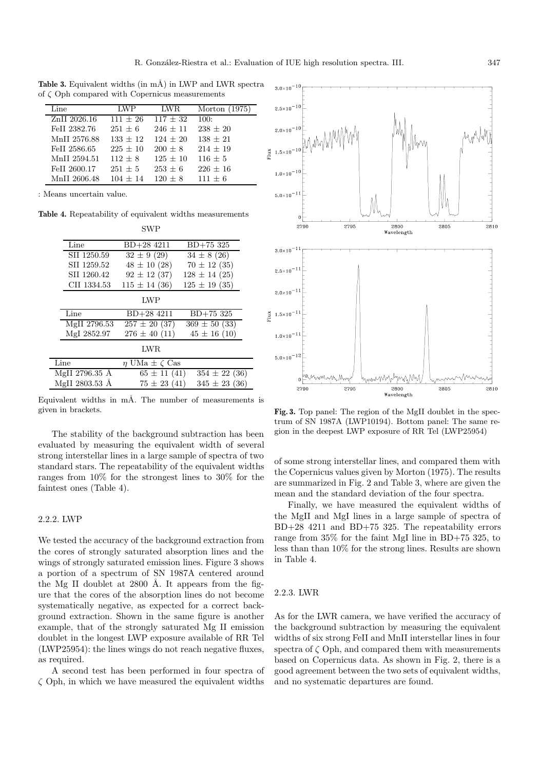**Table 3.** Equivalent widths (in mÅ) in LWP and LWR spectra of  $\zeta$  Oph compared with Copernicus measurements

| Line         | LWP        | LWR.       | Morton $(1975)$ |
|--------------|------------|------------|-----------------|
| ZnII 2026.16 | $111 + 26$ | $117 + 32$ | 100:            |
| FeII 2382.76 | $251 + 6$  | $246 + 11$ | $238 + 20$      |
| MnII 2576.88 | $133 + 12$ | $124 + 20$ | $138 + 21$      |
| FeII 2586.65 | $225 + 10$ | $200 + 8$  | $214 + 19$      |
| MnII 2594.51 | $112 + 8$  | $125 + 10$ | $116 + 5$       |
| FeII 2600.17 | $251 + 5$  | $253 + 6$  | $226 + 16$      |
| MnII 2606.48 | $104 + 14$ | $120 + 8$  | $111 + 6$       |

: Means uncertain value.

**Table 4.** Repeatability of equivalent widths measurements

|                | <b>SWP</b>                 |                   |
|----------------|----------------------------|-------------------|
| Line           | BD+28 4211                 | $BD+75325$        |
| SII 1250.59    | $32 \pm 9(29)$             | $34 \pm 8$ (26)   |
| SII 1259.52    | $48 \pm 10$ (28)           | $70 \pm 12$ (35)  |
| SII 1260.42    | $92 \pm 12$ (37)           | $128 \pm 14$ (25) |
| CII 1334.53    | $115 \pm 14$ (36)          | $125 \pm 19$ (35) |
|                | LWP                        |                   |
| Line           | $BD+28$ 4211               | BD+75 325         |
| MgII 2796.53   | $257 \pm 20$ (37)          | $369 \pm 50$ (33) |
| MgI 2852.97    | $276 \pm 40$ (11)          | $45 \pm 16$ (10)  |
|                | <b>LWR</b>                 |                   |
| Line           | $\eta$ UMa $\pm \zeta$ Cas |                   |
| MgII 2796.35 Å | $65 \pm 11 (41)$           | $354 \pm 22$ (36) |
| MgII 2803.53 Å | $75 \pm 23(41)$            | $345 \pm 23$ (36) |
|                |                            |                   |

Equivalent widths in  $m\AA$ . The number of measurements is given in brackets.

The stability of the background subtraction has been evaluated by measuring the equivalent width of several strong interstellar lines in a large sample of spectra of two standard stars. The repeatability of the equivalent widths ranges from 10% for the strongest lines to 30% for the faintest ones (Table 4).

# 2.2.2. LWP

We tested the accuracy of the background extraction from the cores of strongly saturated absorption lines and the wings of strongly saturated emission lines. Figure 3 shows a portion of a spectrum of SN 1987A centered around the Mg II doublet at  $2800$  Å. It appears from the figure that the cores of the absorption lines do not become systematically negative, as expected for a correct background extraction. Shown in the same figure is another example, that of the strongly saturated Mg II emission doublet in the longest LWP exposure available of RR Tel (LWP25954): the lines wings do not reach negative fluxes, as required.

A second test has been performed in four spectra of  $\zeta$  Oph, in which we have measured the equivalent widths



**Fig. 3.** Top panel: The region of the MgII doublet in the spectrum of SN 1987A (LWP10194). Bottom panel: The same region in the deepest LWP exposure of RR Tel (LWP25954)

of some strong interstellar lines, and compared them with the Copernicus values given by Morton (1975). The results are summarized in Fig. 2 and Table 3, where are given the mean and the standard deviation of the four spectra.

Finally, we have measured the equivalent widths of the MgII and MgI lines in a large sample of spectra of BD+28 4211 and BD+75 325. The repeatability errors range from 35% for the faint MgI line in BD+75 325, to less than than 10% for the strong lines. Results are shown in Table 4.

#### 2.2.3. LWR

As for the LWR camera, we have verified the accuracy of the background subtraction by measuring the equivalent widths of six strong FeII and MnII interstellar lines in four spectra of  $\zeta$  Oph, and compared them with measurements based on Copernicus data. As shown in Fig. 2, there is a good agreement between the two sets of equivalent widths, and no systematic departures are found.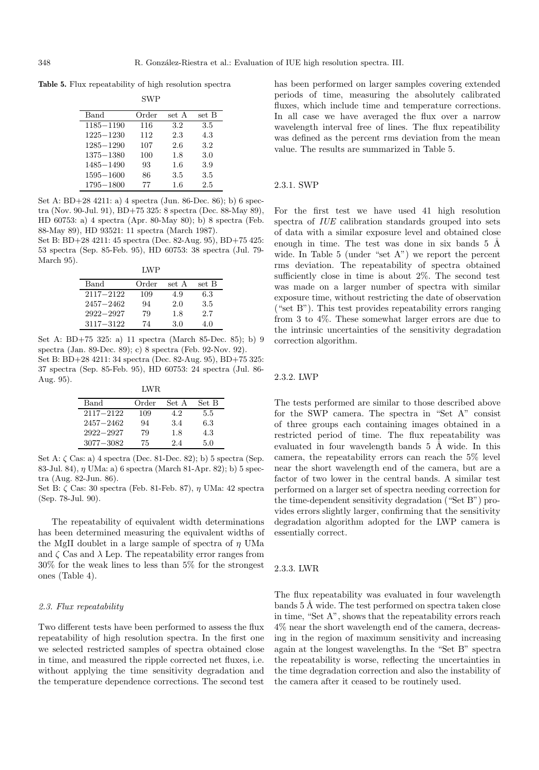**Table 5.** Flux repeatability of high resolution spectra

|               | SWP   |         |       |
|---------------|-------|---------|-------|
| Band          | Order | set A   | set B |
| 1185-1190     | 116   | 3.2     | 3.5   |
| 1225-1230     | 112   | 2.3     | 4.3   |
| $1285 - 1290$ | 107   | 2.6     | 3.2   |
| 1375–1380     | 100   | 1.8     | 3.0   |
| 1485-1490     | 93    | 1.6     | 3.9   |
| 1595-1600     | 86    | 3.5     | 3.5   |
| $1795 - 1800$ | 77    | $1.6\,$ | 2.5   |

 $\alpha$ 

Set A: BD+28 4211: a) 4 spectra (Jun. 86-Dec. 86); b) 6 spectra (Nov. 90-Jul. 91), BD+75 325: 8 spectra (Dec. 88-May 89), HD 60753: a) 4 spectra (Apr. 80-May 80); b) 8 spectra (Feb. 88-May 89), HD 93521: 11 spectra (March 1987).

Set B: BD+28 4211: 45 spectra (Dec. 82-Aug. 95), BD+75 425: 53 spectra (Sep. 85-Feb. 95), HD 60753: 38 spectra (Jul. 79- March 95).  $T\overline{M}$ 

|               | 1.IVV 1. |       |       |
|---------------|----------|-------|-------|
| Band          | Order    | set A | set B |
| $2117 - 2122$ | 109      | 4.9   | 6.3   |
| $2457 - 2462$ | 94       | 2.0   | 3.5   |
| $2922 - 2927$ | 79       | 1.8   | 2.7   |
| $3117 - 3122$ | 74       | 3.0   | 4.0   |

Set A: BD+75 325: a) 11 spectra (March 85-Dec. 85); b) 9 spectra (Jan. 89-Dec. 89); c) 8 spectra (Feb. 92-Nov. 92). Set B: BD+28 4211: 34 spectra (Dec. 82-Aug. 95), BD+75 325: 37 spectra (Sep. 85-Feb. 95), HD 60753: 24 spectra (Jul. 86- Aug. 95).

LWR

| Band          | Order | Set A | Set B |
|---------------|-------|-------|-------|
| $2117 - 2122$ | 109   | 4.2   | 5.5   |
| $2457 - 2462$ | 94    | 3.4   | 6.3   |
| $2922 - 2927$ | 79    | 1.8   | 4.3   |
| $3077 - 3082$ | 75    | 24    | 5.0   |

Set A:  $\zeta$  Cas: a) 4 spectra (Dec. 81-Dec. 82); b) 5 spectra (Sep. 83-Jul. 84), η UMa: a) 6 spectra (March 81-Apr. 82); b) 5 spectra (Aug. 82-Jun. 86).

Set B:  $\zeta$  Cas: 30 spectra (Feb. 81-Feb. 87),  $\eta$  UMa: 42 spectra (Sep. 78-Jul. 90).

The repeatability of equivalent width determinations has been determined measuring the equivalent widths of the MgII doublet in a large sample of spectra of  $\eta$  UMa and  $\zeta$  Cas and  $\lambda$  Lep. The repeatability error ranges from 30% for the weak lines to less than 5% for the strongest ones (Table 4).

### 2.3. Flux repeatability

Two different tests have been performed to assess the flux repeatability of high resolution spectra. In the first one we selected restricted samples of spectra obtained close in time, and measured the ripple corrected net fluxes, i.e. without applying the time sensitivity degradation and the temperature dependence corrections. The second test

has been performed on larger samples covering extended periods of time, measuring the absolutely calibrated fluxes, which include time and temperature corrections. In all case we have averaged the flux over a narrow wavelength interval free of lines. The flux repeatibility was defined as the percent rms deviation from the mean value. The results are summarized in Table 5.

### 2.3.1. SWP

For the first test we have used 41 high resolution spectra of IUE calibration standards grouped into sets of data with a similar exposure level and obtained close enough in time. The test was done in six bands  $5 \text{ Å}$ wide. In Table 5 (under "set A") we report the percent rms deviation. The repeatability of spectra obtained sufficiently close in time is about 2%. The second test was made on a larger number of spectra with similar exposure time, without restricting the date of observation ("set B"). This test provides repeatability errors ranging from 3 to 4%. These somewhat larger errors are due to the intrinsic uncertainties of the sensitivity degradation correction algorithm.

### 2.3.2. LWP

The tests performed are similar to those described above for the SWP camera. The spectra in "Set A" consist of three groups each containing images obtained in a restricted period of time. The flux repeatability was evaluated in four wavelength bands 5 Å wide. In this camera, the repeatability errors can reach the 5% level near the short wavelength end of the camera, but are a factor of two lower in the central bands. A similar test performed on a larger set of spectra needing correction for the time-dependent sensitivity degradation ("Set B") provides errors slightly larger, confirming that the sensitivity degradation algorithm adopted for the LWP camera is essentially correct.

#### 2.3.3. LWR

The flux repeatability was evaluated in four wavelength bands 5 Å wide. The test performed on spectra taken close in time, "Set A", shows that the repeatability errors reach 4% near the short wavelength end of the camera, decreasing in the region of maximum sensitivity and increasing again at the longest wavelengths. In the "Set B" spectra the repeatability is worse, reflecting the uncertainties in the time degradation correction and also the instability of the camera after it ceased to be routinely used.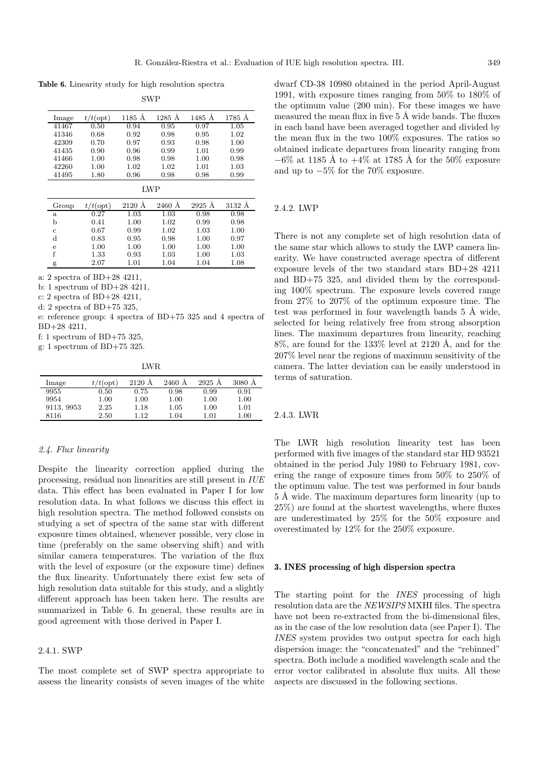**Table 6.** Linearity study for high resolution spectra

| . VAZ<br>C. |  |
|-------------|--|

| Image | $t$ (opt) | 1185 Å | $1285$ Å | 1485 Å | 1785 Å |
|-------|-----------|--------|----------|--------|--------|
| 41467 | 0.50      | 0.94   | 0.95     | 0.97   | 1.05   |
| 41346 | 0.68      | 0.92   | 0.98     | 0.95   | 1.02   |
| 42309 | 0.70      | 0.97   | 0.93     | 0.98   | 1.00   |
| 41435 | 0.90      | 0.96   | 0.99     | 1.01   | 0.99   |
| 41466 | 1.00      | 0.98   | 0.98     | 1.00   | 0.98   |
| 42260 | 1.00      | 1.02   | 1.02     | 1.01   | 1.03   |
| 41495 | 1.80      | 0.96   | 0.98     | 0.98   | 0.99   |

LWP

| Group        | $/t$ (opt) | $2120 \text{ Å}$ | 2460 Å | $2925 \text{ Å}$ | 3132 A |
|--------------|------------|------------------|--------|------------------|--------|
| $\mathbf{a}$ | 0.27       | 1.03             | 1.03   | 0.98             | 0.98   |
| b            | 0.41       | 1.00             | 1.02   | 0.99             | 0.98   |
| c            | 0.67       | 0.99             | 1.02   | 1.03             | 1.00   |
| d            | 0.83       | 0.95             | 0.98   | 1.00             | 0.97   |
| e            | 1.00       | 1.00             | 1.00   | 1.00             | 1.00   |
| f            | 1.33       | 0.93             | 1.03   | 1.00             | 1.03   |
| g            | 2.07       | 1.01             | 1.04   | 1.04             | 1.08   |

a: 2 spectra of BD+28 4211,

b: 1 spectrum of BD+28 4211,

c: 2 spectra of BD+28 4211,

d: 2 spectra of BD+75 325,

e: reference group: 4 spectra of BD+75 325 and 4 spectra of BD+28 4211,

f: 1 spectrum of BD+75 325,

g: 1 spectrum of BD+75 325.

LWR

| Image      | $t/t$ (opt) | 2120 Å | 2460 A   | 2925 A   | 3080 A   |
|------------|-------------|--------|----------|----------|----------|
| 9955       | 0.50        | 0.75   | 0.98     | 0.99     | 0.91     |
| 9954       | 1.00        | 1.00   | $1.00\,$ | 1.00     | 1.00     |
| 9113, 9953 | 2.25        | 1.18   | $1.05\,$ | 1.00     | 1.01     |
| 8116       | 2.50        | 112    | 1.04     | $1.01\,$ | $1.00\,$ |

# 2.4. Flux linearity

Despite the linearity correction applied during the processing, residual non linearities are still present in IUE data. This effect has been evaluated in Paper I for low resolution data. In what follows we discuss this effect in high resolution spectra. The method followed consists on studying a set of spectra of the same star with different exposure times obtained, whenever possible, very close in time (preferably on the same observing shift) and with similar camera temperatures. The variation of the flux with the level of exposure (or the exposure time) defines the flux linearity. Unfortunately there exist few sets of high resolution data suitable for this study, and a slightly different approach has been taken here. The results are summarized in Table 6. In general, these results are in good agreement with those derived in Paper I.

### 2.4.1. SWP

The most complete set of SWP spectra appropriate to assess the linearity consists of seven images of the white dwarf CD-38 10980 obtained in the period April-August 1991, with exposure times ranging from 50% to 180% of the optimum value (200 min). For these images we have measured the mean flux in five  $5 \text{ Å}$  wide bands. The fluxes in each band have been averaged together and divided by the mean flux in the two 100% exposures. The ratios so obtained indicate departures from linearity ranging from  $-6\%$  at 1185 Å to  $+4\%$  at 1785 Å for the 50% exposure and up to −5% for the 70% exposure.

## 2.4.2. LWP

There is not any complete set of high resolution data of the same star which allows to study the LWP camera linearity. We have constructed average spectra of different exposure levels of the two standard stars BD+28 4211 and BD+75 325, and divided them by the corresponding 100% spectrum. The exposure levels covered range from 27% to 207% of the optimum exposure time. The test was performed in four wavelength bands  $5 \text{ Å}$  wide, selected for being relatively free from strong absorption lines. The maximum departures from linearity, reaching  $8\%$ , are found for the 133% level at 2120 Å, and for the 207% level near the regions of maximum sensitivity of the camera. The latter deviation can be easily understood in terms of saturation.

#### 2.4.3. LWR

The LWR high resolution linearity test has been performed with five images of the standard star HD 93521 obtained in the period July 1980 to February 1981, covering the range of exposure times from 50% to 250% of the optimum value. The test was performed in four bands 5 Å wide. The maximum departures form linearity (up to 25%) are found at the shortest wavelengths, where fluxes are underestimated by 25% for the 50% exposure and overestimated by 12% for the 250% exposure.

### **3. INES processing of high dispersion spectra**

The starting point for the INES processing of high resolution data are the NEWSIPS MXHI files. The spectra have not been re-extracted from the bi-dimensional files. as in the case of the low resolution data (see Paper I). The INES system provides two output spectra for each high dispersion image: the "concatenated" and the "rebinned" spectra. Both include a modified wavelength scale and the error vector calibrated in absolute flux units. All these aspects are discussed in the following sections.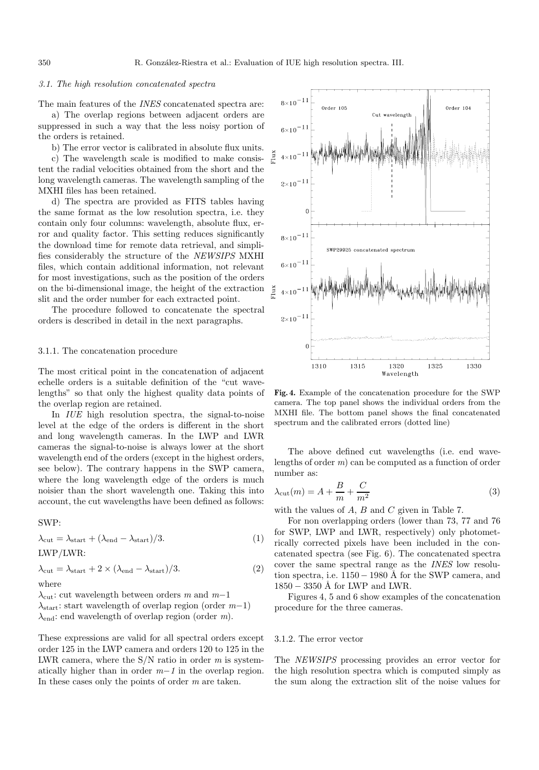### 3.1. The high resolution concatenated spectra

The main features of the *INES* concatenated spectra are:

a) The overlap regions between adjacent orders are suppressed in such a way that the less noisy portion of the orders is retained.

b) The error vector is calibrated in absolute flux units.

c) The wavelength scale is modified to make consistent the radial velocities obtained from the short and the long wavelength cameras. The wavelength sampling of the MXHI files has been retained.

d) The spectra are provided as FITS tables having the same format as the low resolution spectra, i.e. they contain only four columns: wavelength, absolute flux, error and quality factor. This setting reduces significantly the download time for remote data retrieval, and simplifies considerably the structure of the NEWSIPS MXHI files, which contain additional information, not relevant for most investigations, such as the position of the orders on the bi-dimensional image, the height of the extraction slit and the order number for each extracted point.

The procedure followed to concatenate the spectral orders is described in detail in the next paragraphs.

#### 3.1.1. The concatenation procedure

The most critical point in the concatenation of adjacent echelle orders is a suitable definition of the "cut wavelengths" so that only the highest quality data points of the overlap region are retained.

In IUE high resolution spectra, the signal-to-noise level at the edge of the orders is different in the short and long wavelength cameras. In the LWP and LWR cameras the signal-to-noise is always lower at the short wavelength end of the orders (except in the highest orders, see below). The contrary happens in the SWP camera, where the long wavelength edge of the orders is much noisier than the short wavelength one. Taking this into account, the cut wavelengths have been defined as follows:

### SWP:

 $\lambda_{\text{cut}} = \lambda_{\text{start}} + (\lambda_{\text{end}} - \lambda_{\text{start}})/3.$  (1) LWP/LWR:

$$
\lambda_{\rm cut} = \lambda_{\rm start} + 2 \times (\lambda_{\rm end} - \lambda_{\rm start})/3.
$$
\n(2)

\nwhere

 $\lambda_{\text{cut}}$ : cut wavelength between orders m and m−1  $\lambda_{\text{start}}$ : start wavelength of overlap region (order  $m-1$ )

 $\lambda_{\text{end}}$ : end wavelength of overlap region (order m).

These expressions are valid for all spectral orders except order 125 in the LWP camera and orders 120 to 125 in the LWR camera, where the  $S/N$  ratio in order m is systematically higher than in order  $m-1$  in the overlap region. In these cases only the points of order  $m$  are taken.



**Fig. 4.** Example of the concatenation procedure for the SWP camera. The top panel shows the individual orders from the MXHI file. The bottom panel shows the final concatenated spectrum and the calibrated errors (dotted line)

The above defined cut wavelengths (i.e. end wavelengths of order m) can be computed as a function of order number as:

$$
\lambda_{\rm cut}(m) = A + \frac{B}{m} + \frac{C}{m^2} \tag{3}
$$

with the values of  $A$ ,  $B$  and  $C$  given in Table 7.

For non overlapping orders (lower than 73, 77 and 76 for SWP, LWP and LWR, respectively) only photometrically corrected pixels have been included in the concatenated spectra (see Fig. 6). The concatenated spectra cover the same spectral range as the INES low resolution spectra, i.e.  $1150 - 1980$  Å for the SWP camera, and  $1850 - 3350$  Å for LWP and LWR.

Figures 4, 5 and 6 show examples of the concatenation procedure for the three cameras.

### 3.1.2. The error vector

The NEWSIPS processing provides an error vector for the high resolution spectra which is computed simply as the sum along the extraction slit of the noise values for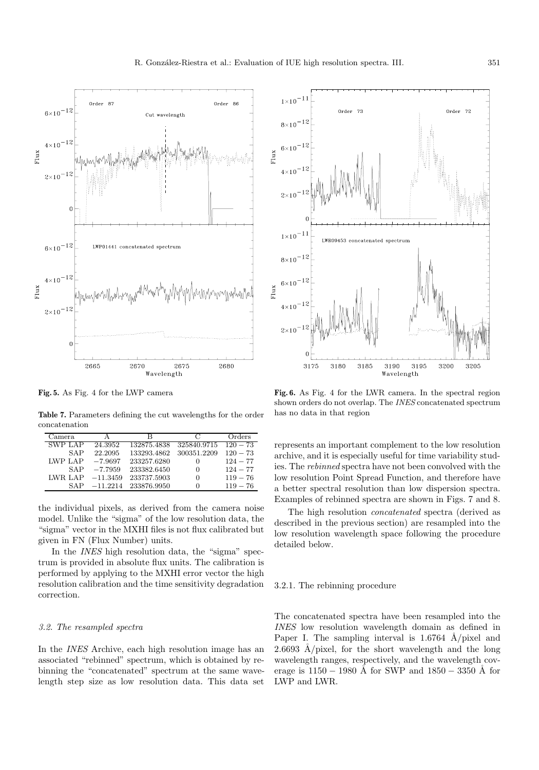**Fig. 5.** As Fig. 4 for the LWP camera

**Table 7.** Parameters defining the cut wavelengths for the order concatenation

| Camera         | А          | R           | $\mathfrak{C}$ | Orders     |
|----------------|------------|-------------|----------------|------------|
| SWP LAP        | 24.3952    | 132875.4838 | 325840.9715    | $120 - 73$ |
| SAP            | 22.2095    | 133293.4862 | 300351.2209    | $120 - 73$ |
| <b>LWP LAP</b> | $-7.9697$  | 233257.6280 | $\theta$       | $124 - 77$ |
| SAP            | $-7.7959$  | 233382.6450 | 0              | $124 - 77$ |
| LWR LAP        | $-11.3459$ | 233737.5903 | 0              | $119 - 76$ |
| SAP            | $-11.2214$ | 233876.9950 | $^{(1)}$       | $119 - 76$ |

the individual pixels, as derived from the camera noise model. Unlike the "sigma" of the low resolution data, the "sigma" vector in the MXHI files is not flux calibrated but given in FN (Flux Number) units.

In the *INES* high resolution data, the "sigma" spectrum is provided in absolute flux units. The calibration is performed by applying to the MXHI error vector the high resolution calibration and the time sensitivity degradation correction.

### 3.2. The resampled spectra

In the INES Archive, each high resolution image has an associated "rebinned" spectrum, which is obtained by rebinning the "concatenated" spectrum at the same wavelength step size as low resolution data. This data set

**Fig. 6.** As Fig. 4 for the LWR camera. In the spectral region shown orders do not overlap. The INES concatenated spectrum has no data in that region

represents an important complement to the low resolution archive, and it is especially useful for time variability studies. The rebinned spectra have not been convolved with the low resolution Point Spread Function, and therefore have a better spectral resolution than low dispersion spectra. Examples of rebinned spectra are shown in Figs. 7 and 8.

The high resolution concatenated spectra (derived as described in the previous section) are resampled into the low resolution wavelength space following the procedure detailed below.

### 3.2.1. The rebinning procedure

The concatenated spectra have been resampled into the INES low resolution wavelength domain as defined in Paper I. The sampling interval is  $1.6764$  Å/pixel and 2.6693 Å/pixel, for the short wavelength and the long wavelength ranges, respectively, and the wavelength coverage is  $1150 - 1980$  Å for SWP and  $1850 - 3350$  Å for LWP and LWR.



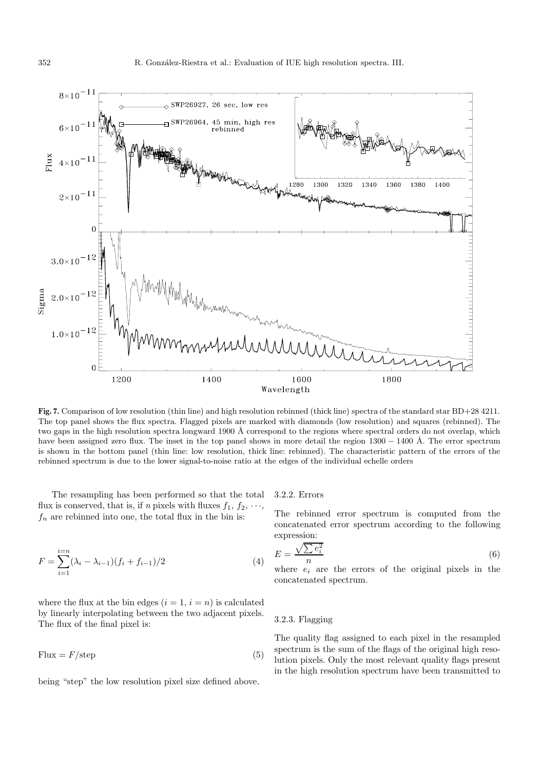

**Fig. 7.** Comparison of low resolution (thin line) and high resolution rebinned (thick line) spectra of the standard star BD+28 4211. The top panel shows the flux spectra. Flagged pixels are marked with diamonds (low resolution) and squares (rebinned). The two gaps in the high resolution spectra longward 1900 Å correspond to the regions where spectral orders do not overlap, which have been assigned zero flux. The inset in the top panel shows in more detail the region  $1300 - 1400 \text{ Å}$ . The error spectrum is shown in the bottom panel (thin line: low resolution, thick line: rebinned). The characteristic pattern of the errors of the rebinned spectrum is due to the lower signal-to-noise ratio at the edges of the individual echelle orders

The resampling has been performed so that the total flux is conserved, that is, if n pixels with fluxes  $f_1, f_2, \dots$ ,  $f_n$  are rebinned into one, the total flux in the bin is:

$$
F = \sum_{i=1}^{i=n} (\lambda_i - \lambda_{i-1})(f_i + f_{i-1})/2
$$
\n(4)

where the flux at the bin edges  $(i = 1, i = n)$  is calculated by linearly interpolating between the two adjacent pixels. The flux of the final pixel is:

 $Flux = F/\text{step}$  (5)

being "step" the low resolution pixel size defined above.

3.2.2. Errors

The rebinned error spectrum is computed from the concatenated error spectrum according to the following expression:

$$
E = \frac{\sqrt{\sum e_i^2}}{n} \tag{6}
$$

where  $e_i$  are the errors of the original pixels in the concatenated spectrum.

### 3.2.3. Flagging

The quality flag assigned to each pixel in the resampled spectrum is the sum of the flags of the original high resolution pixels. Only the most relevant quality flags present in the high resolution spectrum have been transmitted to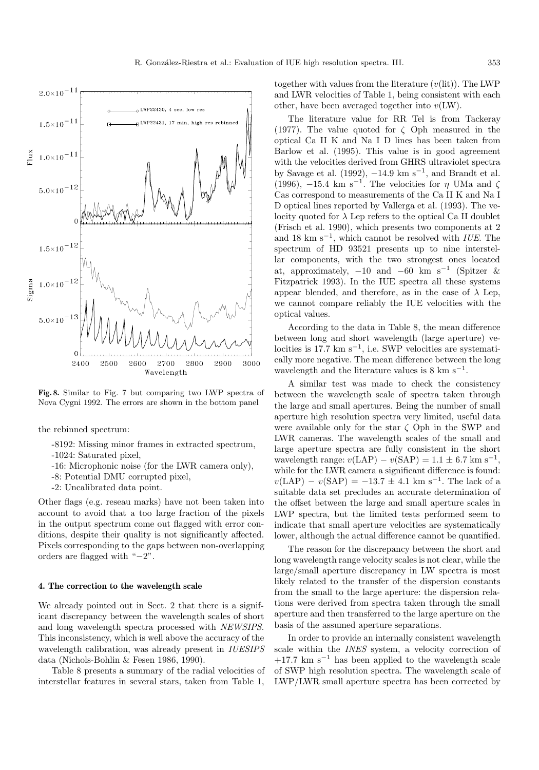**Fig. 8.** Similar to Fig. 7 but comparing two LWP spectra of Nova Cygni 1992. The errors are shown in the bottom panel

the rebinned spectrum:

- -8192: Missing minor frames in extracted spectrum,
- -1024: Saturated pixel,
- -16: Microphonic noise (for the LWR camera only),
- -8: Potential DMU corrupted pixel,
- -2: Uncalibrated data point.

Other flags (e.g. reseau marks) have not been taken into account to avoid that a too large fraction of the pixels in the output spectrum come out flagged with error conditions, despite their quality is not significantly affected. Pixels corresponding to the gaps between non-overlapping orders are flagged with "−2".

### **4. The correction to the wavelength scale**

We already pointed out in Sect. 2 that there is a significant discrepancy between the wavelength scales of short and long wavelength spectra processed with NEWSIPS. This inconsistency, which is well above the accuracy of the wavelength calibration, was already present in *IUESIPS* data (Nichols-Bohlin & Fesen 1986, 1990).

Table 8 presents a summary of the radial velocities of interstellar features in several stars, taken from Table 1,

together with values from the literature  $(v(lit))$ . The LWP and LWR velocities of Table 1, being consistent with each other, have been averaged together into  $v(LW)$ .

The literature value for RR Tel is from Tackeray (1977). The value quoted for  $\zeta$  Oph measured in the optical Ca II K and Na I D lines has been taken from Barlow et al. (1995). This value is in good agreement with the velocities derived from GHRS ultraviolet spectra by Savage et al. (1992),  $-14.9 \text{ km s}^{-1}$ , and Brandt et al. (1996),  $-15.4 \text{ km s}^{-1}$ . The velocities for  $\eta$  UMa and  $\zeta$ Cas correspond to measurements of the Ca II K and Na I D optical lines reported by Vallerga et al. (1993). The velocity quoted for  $\lambda$  Lep refers to the optical Ca II doublet (Frisch et al. 1990), which presents two components at 2 and 18 km s<sup> $-1$ </sup>, which cannot be resolved with *IUE*. The spectrum of HD 93521 presents up to nine interstellar components, with the two strongest ones located at, approximately,  $-10$  and  $-60$  km s<sup>-1</sup> (Spitzer & Fitzpatrick 1993). In the IUE spectra all these systems appear blended, and therefore, as in the case of  $\lambda$  Lep, we cannot compare reliably the IUE velocities with the optical values.

According to the data in Table 8, the mean difference between long and short wavelength (large aperture) velocities is 17.7 km s−<sup>1</sup>, i.e. SWP velocities are systematically more negative. The mean difference between the long wavelength and the literature values is  $8 \text{ km s}^{-1}$ .

A similar test was made to check the consistency between the wavelength scale of spectra taken through the large and small apertures. Being the number of small aperture high resolution spectra very limited, useful data were available only for the star  $\zeta$  Oph in the SWP and LWR cameras. The wavelength scales of the small and large aperture spectra are fully consistent in the short wavelength range:  $v(LAP) - v(SAP) = 1.1 \pm 6.7$  km s<sup>-1</sup>, while for the LWR camera a significant difference is found:  $v(LAP) - v(SAP) = -13.7 \pm 4.1$  km s<sup>-1</sup>. The lack of a suitable data set precludes an accurate determination of the offset between the large and small aperture scales in LWP spectra, but the limited tests performed seem to indicate that small aperture velocities are systematically lower, although the actual difference cannot be quantified.

The reason for the discrepancy between the short and long wavelength range velocity scales is not clear, while the large/small aperture discrepancy in LW spectra is most likely related to the transfer of the dispersion constants from the small to the large aperture: the dispersion relations were derived from spectra taken through the small aperture and then transferred to the large aperture on the basis of the assumed aperture separations.

In order to provide an internally consistent wavelength scale within the INES system, a velocity correction of  $+17.7$  km s<sup>-1</sup> has been applied to the wavelength scale of SWP high resolution spectra. The wavelength scale of LWP/LWR small aperture spectra has been corrected by

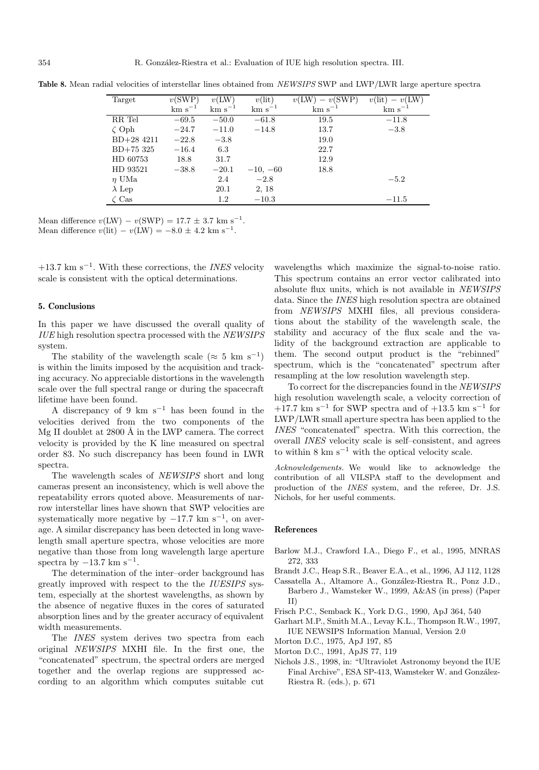| Target        | v(SWP)      | v(LW)       | $v(\text{lit})$ | $v(LW) - v(SWP)$ | $v(\mathrm{lit})$<br>$- v(LW)$ |
|---------------|-------------|-------------|-----------------|------------------|--------------------------------|
|               | $km s^{-1}$ | $km s^{-1}$ | $km s^{-1}$     | $km s^{-1}$      | $km s^{-1}$                    |
| RR Tel        | $-69.5$     | $-50.0$     | $-61.8$         | 19.5             | $-11.8$                        |
| $\zeta$ Oph   | $-24.7$     | $-11.0$     | $-14.8$         | 13.7             | $-3.8$                         |
| $BD+28$ 4211  | $-22.8$     | $-3.8$      |                 | 19.0             |                                |
| $BD+75325$    | $-16.4$     | 6.3         |                 | 22.7             |                                |
| HD 60753      | 18.8        | 31.7        |                 | 12.9             |                                |
| HD 93521      | $-38.8$     | $-20.1$     | $-10, -60$      | 18.8             |                                |
| $\eta$ UMa    |             | 2.4         | $-2.8$          |                  | $-5.2$                         |
| $\lambda$ Lep |             | 20.1        | 2, 18           |                  |                                |
| $\zeta$ Cas   |             | 1.2         | $-10.3$         |                  | $-11.5$                        |

**Table 8.** Mean radial velocities of interstellar lines obtained from NEWSIPS SWP and LWP/LWR large aperture spectra

Mean difference  $v(LW) - v(SWP) = 17.7 \pm 3.7$  km s<sup>-1</sup>. Mean difference  $v(\text{lit}) - v(\text{LW}) = -8.0 \pm 4.2 \text{ km s}^{-1}$ .

 $+13.7$  km s<sup>-1</sup>. With these corrections, the *INES* velocity scale is consistent with the optical determinations.

### **5. Conclusions**

In this paper we have discussed the overall quality of IUE high resolution spectra processed with the NEWSIPS system.

The stability of the wavelength scale ( $\approx 5$  km s<sup>-1</sup>) is within the limits imposed by the acquisition and tracking accuracy. No appreciable distortions in the wavelength scale over the full spectral range or during the spacecraft lifetime have been found.

A discrepancy of 9 km s<sup>-1</sup> has been found in the velocities derived from the two components of the Mg II doublet at  $2800 \text{ Å}$  in the LWP camera. The correct velocity is provided by the K line measured on spectral order 83. No such discrepancy has been found in LWR spectra.

The wavelength scales of NEWSIPS short and long cameras present an inconsistency, which is well above the repeatability errors quoted above. Measurements of narrow interstellar lines have shown that SWP velocities are systematically more negative by  $-17.7$  km s<sup>-1</sup>, on average. A similar discrepancy has been detected in long wavelength small aperture spectra, whose velocities are more negative than those from long wavelength large aperture spectra by  $-13.7$  km s<sup>-1</sup>.

The determination of the inter–order background has greatly improved with respect to the the IUESIPS system, especially at the shortest wavelengths, as shown by the absence of negative fluxes in the cores of saturated absorption lines and by the greater accuracy of equivalent width measurements.

The INES system derives two spectra from each original NEWSIPS MXHI file. In the first one, the "concatenated" spectrum, the spectral orders are merged together and the overlap regions are suppressed according to an algorithm which computes suitable cut wavelengths which maximize the signal-to-noise ratio. This spectrum contains an error vector calibrated into absolute flux units, which is not available in NEWSIPS data. Since the INES high resolution spectra are obtained from NEWSIPS MXHI files, all previous considerations about the stability of the wavelength scale, the stability and accuracy of the flux scale and the validity of the background extraction are applicable to them. The second output product is the "rebinned" spectrum, which is the "concatenated" spectrum after resampling at the low resolution wavelength step.

To correct for the discrepancies found in the NEWSIPS high resolution wavelength scale, a velocity correction of  $+17.7$  km s<sup>-1</sup> for SWP spectra and of  $+13.5$  km s<sup>-1</sup> for LWP/LWR small aperture spectra has been applied to the INES "concatenated" spectra. With this correction, the overall INES velocity scale is self–consistent, and agrees to within  $8 \text{ km s}^{-1}$  with the optical velocity scale.

Acknowledgements. We would like to acknowledge the contribution of all VILSPA staff to the development and production of the INES system, and the referee, Dr. J.S. Nichols, for her useful comments.

### **References**

- Barlow M.J., Crawford I.A., Diego F., et al., 1995, MNRAS 272, 333
- Brandt J.C., Heap S.R., Beaver E.A., et al., 1996, AJ 112, 1128
- Cassatella A., Altamore A., Gonz´alez-Riestra R., Ponz J.D., Barbero J., Wamsteker W., 1999, A&AS (in press) (Paper II)
- Frisch P.C., Semback K., York D.G., 1990, ApJ 364, 540
- Garhart M.P., Smith M.A., Levay K.L., Thompson R.W., 1997, IUE NEWSIPS Information Manual, Version 2.0
- Morton D.C., 1975, ApJ 197, 85
- Morton D.C., 1991, ApJS 77, 119
- Nichols J.S., 1998, in: "Ultraviolet Astronomy beyond the IUE Final Archive", ESA SP-413, Wamsteker W. and González-Riestra R. (eds.), p. 671